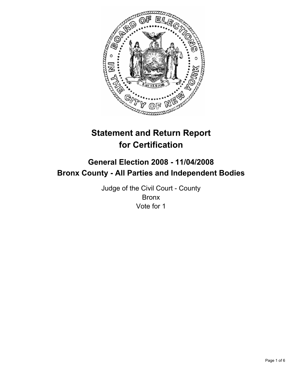

# **Statement and Return Report for Certification**

# **General Election 2008 - 11/04/2008 Bronx County - All Parties and Independent Bodies**

Judge of the Civil Court - County Bronx Vote for 1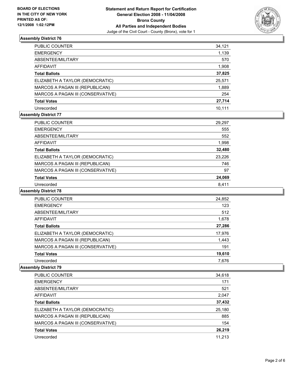

| PUBLIC COUNTER                    | 34,121 |
|-----------------------------------|--------|
| <b>EMERGENCY</b>                  | 1,139  |
| ABSENTEE/MILITARY                 | 570    |
| <b>AFFIDAVIT</b>                  | 1,908  |
| <b>Total Ballots</b>              | 37,825 |
| ELIZABETH A TAYLOR (DEMOCRATIC)   | 25,571 |
| MARCOS A PAGAN III (REPUBLICAN)   | 1,889  |
| MARCOS A PAGAN III (CONSERVATIVE) | 254    |
| <b>Total Votes</b>                | 27,714 |
| Unrecorded                        | 10.111 |

### **Assembly District 77**

| PUBLIC COUNTER                    | 29,297 |
|-----------------------------------|--------|
| <b>EMERGENCY</b>                  | 555    |
| ABSENTEE/MILITARY                 | 552    |
| AFFIDAVIT                         | 1,998  |
| <b>Total Ballots</b>              | 32,480 |
| ELIZABETH A TAYLOR (DEMOCRATIC)   | 23,226 |
| MARCOS A PAGAN III (REPUBLICAN)   | 746    |
| MARCOS A PAGAN III (CONSERVATIVE) | 97     |
| <b>Total Votes</b>                | 24,069 |
| Unrecorded                        | 8.411  |

#### **Assembly District 78**

| <b>PUBLIC COUNTER</b>             | 24,852 |
|-----------------------------------|--------|
| <b>EMERGENCY</b>                  | 123    |
| ABSENTEE/MILITARY                 | 512    |
| AFFIDAVIT                         | 1,678  |
| <b>Total Ballots</b>              | 27,286 |
| ELIZABETH A TAYLOR (DEMOCRATIC)   | 17,976 |
| MARCOS A PAGAN III (REPUBLICAN)   | 1,443  |
| MARCOS A PAGAN III (CONSERVATIVE) | 191    |
| <b>Total Votes</b>                | 19,610 |
| Unrecorded                        | 7,676  |

| PUBLIC COUNTER                    | 34,618 |
|-----------------------------------|--------|
| <b>EMERGENCY</b>                  | 171    |
| ABSENTEE/MILITARY                 | 521    |
| AFFIDAVIT                         | 2,047  |
| <b>Total Ballots</b>              | 37,432 |
| ELIZABETH A TAYLOR (DEMOCRATIC)   | 25,180 |
| MARCOS A PAGAN III (REPUBLICAN)   | 885    |
| MARCOS A PAGAN III (CONSERVATIVE) | 154    |
| <b>Total Votes</b>                | 26,219 |
| Unrecorded                        | 11.213 |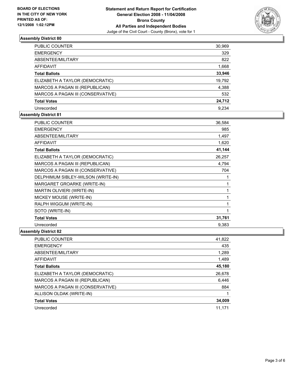

| PUBLIC COUNTER                    | 30,969 |
|-----------------------------------|--------|
| <b>EMERGENCY</b>                  | 329    |
| ABSENTEE/MILITARY                 | 822    |
| AFFIDAVIT                         | 1,668  |
| <b>Total Ballots</b>              | 33,946 |
| ELIZABETH A TAYLOR (DEMOCRATIC)   | 19,792 |
| MARCOS A PAGAN III (REPUBLICAN)   | 4,388  |
| MARCOS A PAGAN III (CONSERVATIVE) | 532    |
| <b>Total Votes</b>                | 24,712 |
| Unrecorded                        | 9.234  |

### **Assembly District 81**

| <b>PUBLIC COUNTER</b>              | 36,584 |  |
|------------------------------------|--------|--|
| <b>EMERGENCY</b>                   | 985    |  |
| ABSENTEE/MILITARY                  | 1,497  |  |
| <b>AFFIDAVIT</b>                   | 1,620  |  |
| <b>Total Ballots</b>               | 41,144 |  |
| ELIZABETH A TAYLOR (DEMOCRATIC)    | 26,257 |  |
| MARCOS A PAGAN III (REPUBLICAN)    | 4,794  |  |
| MARCOS A PAGAN III (CONSERVATIVE)  | 704    |  |
| DELPHIMUM SIBLEY-WILSON (WRITE-IN) |        |  |
| MARGARET GROARKE (WRITE-IN)        |        |  |
| MARTIN OLIVIERI (WRITE-IN)         |        |  |
| MICKEY MOUSE (WRITE-IN)            |        |  |
| RALPH WIGGUM (WRITE-IN)            |        |  |
| SOTO (WRITE-IN)                    |        |  |
| <b>Total Votes</b>                 | 31,761 |  |
| Unrecorded                         | 9,383  |  |

| <b>PUBLIC COUNTER</b>             | 41,822 |
|-----------------------------------|--------|
| <b>EMERGENCY</b>                  | 435    |
| ABSENTEE/MILITARY                 | 1,289  |
| AFFIDAVIT                         | 1,489  |
| <b>Total Ballots</b>              | 45,180 |
| ELIZABETH A TAYLOR (DEMOCRATIC)   | 26,678 |
| MARCOS A PAGAN III (REPUBLICAN)   | 6,446  |
| MARCOS A PAGAN III (CONSERVATIVE) | 884    |
| ALLISON OLDAK (WRITE-IN)          |        |
| <b>Total Votes</b>                | 34,009 |
| Unrecorded                        | 11.171 |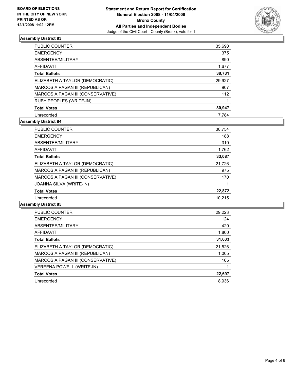

| <b>PUBLIC COUNTER</b>             | 35,690 |
|-----------------------------------|--------|
| <b>EMERGENCY</b>                  | 375    |
| ABSENTEE/MILITARY                 | 890    |
| AFFIDAVIT                         | 1,677  |
| <b>Total Ballots</b>              | 38,731 |
| ELIZABETH A TAYLOR (DEMOCRATIC)   | 29,927 |
| MARCOS A PAGAN III (REPUBLICAN)   | 907    |
| MARCOS A PAGAN III (CONSERVATIVE) | 112    |
| RUBY PEOPLES (WRITE-IN)           |        |
| <b>Total Votes</b>                | 30,947 |
| Unrecorded                        | 7.784  |

### **Assembly District 84**

| <b>PUBLIC COUNTER</b>             | 30,754 |
|-----------------------------------|--------|
| <b>EMERGENCY</b>                  | 188    |
| ABSENTEE/MILITARY                 | 310    |
| AFFIDAVIT                         | 1,762  |
| <b>Total Ballots</b>              | 33,087 |
| ELIZABETH A TAYLOR (DEMOCRATIC)   | 21,726 |
| MARCOS A PAGAN III (REPUBLICAN)   | 975    |
| MARCOS A PAGAN III (CONSERVATIVE) | 170    |
| JOANNA SILVA (WRITE-IN)           |        |
| <b>Total Votes</b>                | 22,872 |
| Unrecorded                        | 10,215 |

| <b>PUBLIC COUNTER</b>             | 29,223 |
|-----------------------------------|--------|
| <b>EMERGENCY</b>                  | 124    |
| ABSENTEE/MILITARY                 | 420    |
| AFFIDAVIT                         | 1,800  |
| <b>Total Ballots</b>              | 31,633 |
| ELIZABETH A TAYLOR (DEMOCRATIC)   | 21,526 |
| MARCOS A PAGAN III (REPUBLICAN)   | 1,005  |
| MARCOS A PAGAN III (CONSERVATIVE) | 165    |
| VEREENA POWELL (WRITE-IN)         |        |
| <b>Total Votes</b>                | 22,697 |
| Unrecorded                        | 8.936  |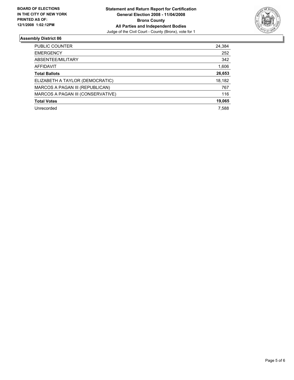

| PUBLIC COUNTER                    | 24,384 |
|-----------------------------------|--------|
| <b>EMERGENCY</b>                  | 252    |
| ABSENTEE/MILITARY                 | 342    |
| <b>AFFIDAVIT</b>                  | 1,606  |
| <b>Total Ballots</b>              | 26,653 |
| ELIZABETH A TAYLOR (DEMOCRATIC)   | 18,182 |
| MARCOS A PAGAN III (REPUBLICAN)   | 767    |
| MARCOS A PAGAN III (CONSERVATIVE) | 116    |
| <b>Total Votes</b>                | 19,065 |
| Unrecorded                        | 7,588  |